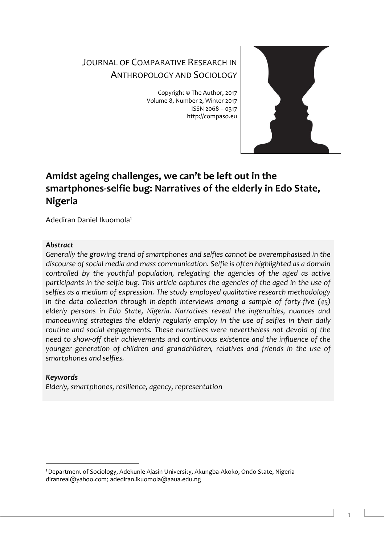# JOURNAL OF COMPARATIVE RESEARCH IN ANTHROPOLOGY AND SOCIOLOGY

Copyright © The Author, 2017 Volume 8, Number 2, Winter 2017 ISSN 2068 – 0317 http://compaso.eu



# **Amidst ageing challenges, we can't be left out in the smartphones-selfie bug: Narratives of the elderly in Edo State, Nigeria**

Adediran Daniel Ikuomola<sup>1</sup>

# *Abstract*

*Generally the growing trend of smartphones and selfies cannot be overemphasised in the discourse of social media and mass communication. Selfie is often highlighted as a domain controlled by the youthful population, relegating the agencies of the aged as active participants in the selfie bug. This article captures the agencies of the aged in the use of selfies as a medium of expression. The study employed qualitative research methodology in the data collection through in-depth interviews among a sample of forty-five (45) elderly persons in Edo State, Nigeria. Narratives reveal the ingenuities, nuances and manoeuvring strategies the elderly regularly employ in the use of selfies in their daily routine and social engagements. These narratives were nevertheless not devoid of the need to show-off their achievements and continuous existence and the influence of the younger generation of children and grandchildren, relatives and friends in the use of smartphones and selfies.*

# *Keywords*

-

*Elderly, smartphones, resilience, agency, representation* 

<sup>1</sup>Department of Sociology, Adekunle Ajasin University, Akungba-Akoko, Ondo State, Nigeria diranreal@yahoo.com; adediran.ikuomola@aaua.edu.ng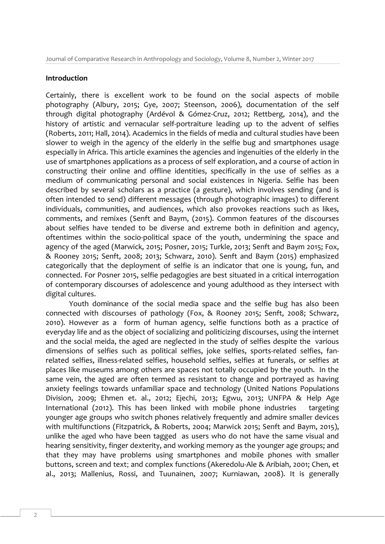#### **Introduction**

Certainly, there is excellent work to be found on the social aspects of mobile photography (Albury, 2015; Gye, 2007; Steenson, 2006), documentation of the self through digital photography (Ardévol & Gómez-Cruz, 2012; Rettberg, 2014), and the history of artistic and vernacular self-portraiture leading up to the advent of selfies (Roberts, 2011; Hall, 2014). Academics in the fields of media and cultural studies have been slower to weigh in the agency of the elderly in the selfie bug and smartphones usage especially in Africa. This article examines the agencies and ingenuities of the elderly in the use of smartphones applications as a process of self exploration, and a course of action in constructing their online and offline identities, specifically in the use of selfies as a medium of communicating personal and social existences in Nigeria. Selfie has been described by several scholars as a practice (a gesture), which involves sending (and is often intended to send) different messages (through photographic images) to different individuals, communities, and audiences, which also provokes reactions such as likes, comments, and remixes (Senft and Baym, (2015). Common features of the discourses about selfies have tended to be diverse and extreme both in definition and agency, oftentimes within the socio-political space of the youth, undermining the space and agency of the aged (Marwick, 2015; Posner, 2015; Turkle, 2013; Senft and Baym 2015; Fox, & Rooney 2015; Senft, 2008; 2013; Schwarz, 2010). Senft and Baym (2015) emphasized categorically that the deployment of selfie is an indicator that one is young, fun, and connected. For Posner 2015, selfie pedagogies are best situated in a critical interrogation of contemporary discourses of adolescence and young adulthood as they intersect with digital cultures.

Youth dominance of the social media space and the selfie bug has also been connected with discourses of pathology (Fox, & Rooney 2015; Senft, 2008; Schwarz, 2010). However as a form of human agency, selfie functions both as a practice of everyday life and as the object of socializing and politicizing discourses, using the internet and the social meida, the aged are neglected in the study of selfies despite the various dimensions of selfies such as political selfies, joke selfies, sports-related selfies, fanrelated selfies, illness-related selfies, household selfies, selfies at funerals, or selfies at places like museums among others are spaces not totally occupied by the youth. In the same vein, the aged are often termed as resistant to change and portrayed as having anxiety feelings towards unfamiliar space and technology (United Nations Populations Division, 2009; Ehmen et. al., 2012; Ejechi, 2013; Egwu, 2013; UNFPA & Help Age International (2012). This has been linked with mobile phone industries targeting younger age groups who switch phones relatively frequently and admire smaller devices with multifunctions (Fitzpatrick, & Roberts, 2004; Marwick 2015; Senft and Baym, 2015), unlike the aged who have been tagged as users who do not have the same visual and hearing sensitivity, finger dexterity, and working memory as the younger age groups; and that they may have problems using smartphones and mobile phones with smaller buttons, screen and text; and complex functions (Akeredolu-Ale & Aribiah, 2001; Chen, et al., 2013; Mallenius, Rossi, and Tuunainen, 2007; Kurniawan, 2008). It is generally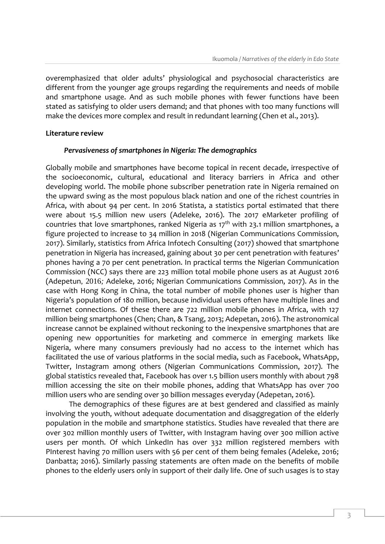overemphasized that older adults' physiological and psychosocial characteristics are different from the younger age groups regarding the requirements and needs of mobile and smartphone usage. And as such mobile phones with fewer functions have been stated as satisfying to older users demand; and that phones with too many functions will make the devices more complex and result in redundant learning (Chen et al., 2013).

### **Literature review**

#### *Pervasiveness of smartphones in Nigeria: The demographics*

Globally mobile and smartphones have become topical in recent decade, irrespective of the socioeconomic, cultural, educational and literacy barriers in Africa and other developing world. The mobile phone subscriber penetration rate in Nigeria remained on the upward swing as the most populous black nation and one of the richest countries in Africa, with about 94 per cent. In 2016 Statista, a statistics portal estimated that there were about 15.5 million new users (Adeleke, 2016). The 2017 eMarketer profiling of countries that love smartphones, ranked Nigeria as  $17<sup>th</sup>$  with 23.1 million smartphones, a figure projected to increase to 34 million in 2018 (Nigerian Communications Commission, 2017). Similarly, statistics from Africa Infotech Consulting (2017) showed that smartphone penetration in Nigeria has increased, gaining about 30 per cent penetration with features' phones having a 70 per cent penetration. In practical terms the Nigerian Communication Commission (NCC) says there are 223 million total mobile phone users as at August 2016 (Adepetun*,* 2016*;* Adeleke, 2016; Nigerian Communications Commission, 2017). As in the case with Hong Kong in China, the total number of mobile phones user is higher than Nigeria's population of 180 million, because individual users often have multiple lines and internet connections. Of these there are 722 million mobile phones in Africa, with 127 million being smartphones (Chen; Chan, & Tsang, 2013; Adepetan, 2016). The astronomical increase cannot be explained without reckoning to the inexpensive smartphones that are opening new opportunities for marketing and commerce in emerging markets like Nigeria, where many consumers previously had no access to the internet which has facilitated the use of various platforms in the social media, such as Facebook, WhatsApp, Twitter, Instagram among others (Nigerian Communications Commission, 2017). The global statistics revealed that, Facebook has over 1.5 billion users monthly with about 798 million accessing the site on their mobile phones, adding that WhatsApp has over 700 million users who are sending over 30 billion messages everyday (Adepetan, 2016).

The demographics of these figures are at best gendered and classified as mainly involving the youth, without adequate documentation and disaggregation of the elderly population in the mobile and smartphone statistics. Studies have revealed that there are over 302 million monthly users of Twitter, with Instagram having over 300 million active users per month. Of which LinkedIn has over 332 million registered members with PInterest having 70 million users with 56 per cent of them being females (Adeleke, 2016; Danbatta; 2016). Similarly passing statements are often made on the benefits of mobile phones to the elderly users only in support of their daily life. One of such usages is to stay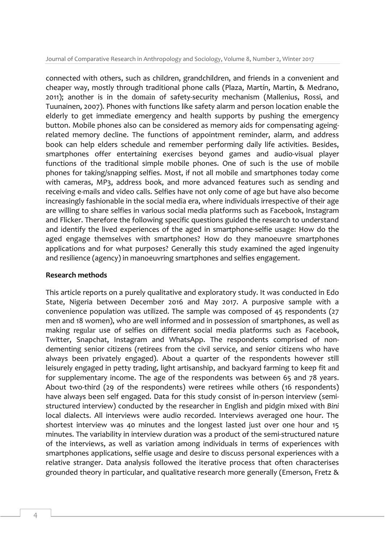Journal of Comparative Research in Anthropology and Sociology, Volume 8, Number 2, Winter 2017

connected with others, such as children, grandchildren, and friends in a convenient and cheaper way, mostly through traditional phone calls (Plaza, Martín, Martin, & Medrano, 2011); another is in the domain of safety-security mechanism (Mallenius, Rossi, and Tuunainen, 2007). Phones with functions like safety alarm and person location enable the elderly to get immediate emergency and health supports by pushing the emergency button. Mobile phones also can be considered as memory aids for compensating ageingrelated memory decline. The functions of appointment reminder, alarm, and address book can help elders schedule and remember performing daily life activities. Besides, smartphones offer entertaining exercises beyond games and audio-visual player functions of the traditional simple mobile phones. One of such is the use of mobile phones for taking/snapping selfies. Most, if not all mobile and smartphones today come with cameras, MP3, address book, and more advanced features such as sending and receiving e-mails and video calls. Selfies have not only come of age but have also become increasingly fashionable in the social media era, where individuals irrespective of their age are willing to share selfies in various social media platforms such as Facebook, Instagram and Flicker. Therefore the following specific questions guided the research to understand and identify the lived experiences of the aged in smartphone-selfie usage: How do the aged engage themselves with smartphones? How do they manoeuvre smartphones applications and for what purposes? Generally this study examined the aged ingenuity and resilience (agency) in manoeuvring smartphones and selfies engagement.

### **Research methods**

This article reports on a purely qualitative and exploratory study. It was conducted in Edo State, Nigeria between December 2016 and May 2017. A purposive sample with a convenience population was utilized. The sample was composed of 45 respondents (27 men and 18 women), who are well informed and in possession of smartphones, as well as making regular use of selfies on different social media platforms such as Facebook, Twitter, Snapchat, Instagram and WhatsApp. The respondents comprised of nondementing senior citizens (retirees from the civil service, and senior citizens who have always been privately engaged). About a quarter of the respondents however still leisurely engaged in petty trading, light artisanship, and backyard farming to keep fit and for supplementary income. The age of the respondents was between 65 and 78 years. About two-third (29 of the respondents) were retirees while others (16 respondents) have always been self engaged. Data for this study consist of in-person interview (semistructured interview) conducted by the researcher in English and pidgin mixed with *Bini*  local dialects. All interviews were audio recorded. Interviews averaged one hour. The shortest interview was 40 minutes and the longest lasted just over one hour and 15 minutes. The variability in interview duration was a product of the semi-structured nature of the interviews, as well as variation among individuals in terms of experiences with smartphones applications, selfie usage and desire to discuss personal experiences with a relative stranger. Data analysis followed the iterative process that often characterises grounded theory in particular, and qualitative research more generally (Emerson, Fretz &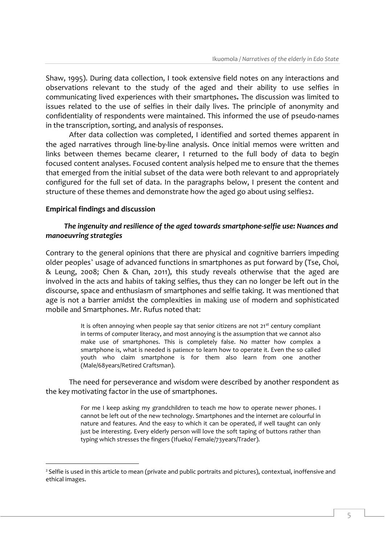Shaw, 1995). During data collection, I took extensive field notes on any interactions and observations relevant to the study of the aged and their ability to use selfies in communicating lived experiences with their smartphones**.** The discussion was limited to issues related to the use of selfies in their daily lives. The principle of anonymity and confidentiality of respondents were maintained. This informed the use of pseudo-names in the transcription, sorting, and analysis of responses.

After data collection was completed, I identified and sorted themes apparent in the aged narratives through line-by-line analysis. Once initial memos were written and links between themes became clearer, I returned to the full body of data to begin focused content analyses. Focused content analysis helped me to ensure that the themes that emerged from the initial subset of the data were both relevant to and appropriately configured for the full set of data. In the paragraphs below, I present the content and structure of these themes and demonstrate how the aged go about using selfies2.

## **Empirical findings and discussion**

-

# *The ingenuity and resilience of the aged towards smartphone-selfie use: Nuances and manoeuvring strategies*

Contrary to the general opinions that there are physical and cognitive barriers impeding older peoples' usage of advanced functions in smartphones as put forward by (Tse, Choi, & Leung, 2008; Chen & Chan, 2011), this study reveals otherwise that the aged are involved in the acts and habits of taking selfies, thus they can no longer be left out in the discourse, space and enthusiasm of smartphones and selfie taking. It was mentioned that age is not a barrier amidst the complexities in making use of modern and sophisticated mobile and Smartphones. Mr. Rufus noted that:

> It is often annoying when people say that senior citizens are not  $21<sup>st</sup>$  century compliant in terms of computer literacy, and most annoying is the assumption that we cannot also make use of smartphones. This is completely false. No matter how complex a smartphone is, what is needed is patience to learn how to operate it. Even the so called youth who claim smartphone is for them also learn from one another (Male/68years/Retired Craftsman).

The need for perseverance and wisdom were described by another respondent as the key motivating factor in the use of smartphones.

> For me I keep asking my grandchildren to teach me how to operate newer phones. I cannot be left out of the new technology. Smartphones and the internet are colourful in nature and features. And the easy to which it can be operated, if well taught can only just be interesting. Every elderly person will love the soft taping of buttons rather than typing which stresses the fingers (Ifueko/ Female/73years/Trader).

<sup>&</sup>lt;sup>2</sup> Selfie is used in this article to mean (private and public portraits and pictures), contextual, inoffensive and ethical images.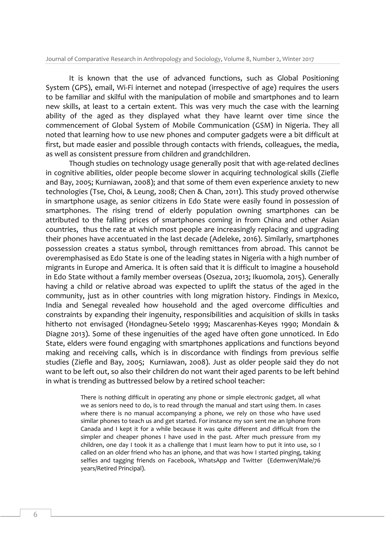It is known that the use of advanced functions, such as Global Positioning System (GPS), email, Wi-Fi internet and notepad (irrespective of age) requires the users to be familiar and skilful with the manipulation of mobile and smartphones and to learn new skills, at least to a certain extent. This was very much the case with the learning ability of the aged as they displayed what they have learnt over time since the commencement of Global System of Mobile Communication (GSM) in Nigeria. They all noted that learning how to use new phones and computer gadgets were a bit difficult at first, but made easier and possible through contacts with friends, colleagues, the media, as well as consistent pressure from children and grandchildren.

Though studies on technology usage generally posit that with age-related declines in cognitive abilities, older people become slower in acquiring technological skills (Ziefle and Bay, 2005; Kurniawan, 2008); and that some of them even experience anxiety to new technologies (Tse, Choi, & Leung, 2008; Chen & Chan, 2011). This study proved otherwise in smartphone usage, as senior citizens in Edo State were easily found in possession of smartphones. The rising trend of elderly population owning smartphones can be attributed to the falling prices of smartphones coming in from China and other Asian countries, thus the rate at which most people are increasingly replacing and upgrading their phones have accentuated in the last decade (Adeleke, 2016). Similarly, smartphones possession creates a status symbol, through remittances from abroad. This cannot be overemphasised as Edo State is one of the leading states in Nigeria with a high number of migrants in Europe and America. It is often said that it is difficult to imagine a household in Edo State without a family member overseas (Osezua, 2013; Ikuomola, 2015). Generally having a child or relative abroad was expected to uplift the status of the aged in the community, just as in other countries with long migration history. Findings in Mexico, India and Senegal revealed how household and the aged overcome difficulties and constraints by expanding their ingenuity, responsibilities and acquisition of skills in tasks hitherto not envisaged (Hondagneu-Setelo 1999; Mascarenhas-Keyes 1990; Mondain & Diagne 2013). Some of these ingenuities of the aged have often gone unnoticed. In Edo State, elders were found engaging with smartphones applications and functions beyond making and receiving calls, which is in discordance with findings from previous selfie studies (Ziefle and Bay, 2005; Kurniawan, 2008). Just as older people said they do not want to be left out, so also their children do not want their aged parents to be left behind in what is trending as buttressed below by a retired school teacher:

> There is nothing difficult in operating any phone or simple electronic gadget, all what we as seniors need to do, is to read through the manual and start using them. In cases where there is no manual accompanying a phone, we rely on those who have used similar phones to teach us and get started. For instance my son sent me an Iphone from Canada and I kept it for a while because it was quite different and difficult from the simpler and cheaper phones I have used in the past. After much pressure from my children, one day I took it as a challenge that I must learn how to put it into use, so I called on an older friend who has an iphone, and that was how I started pinging, taking selfies and tagging friends on Facebook, WhatsApp and Twitter (Edemwen/Male/76 years/Retired Principal).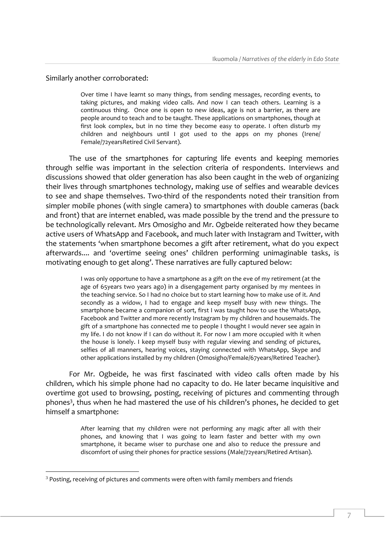### Similarly another corroborated:

Over time I have learnt so many things, from sending messages, recording events, to taking pictures, and making video calls. And now I can teach others. Learning is a continuous thing. Once one is open to new ideas, age is not a barrier, as there are people around to teach and to be taught. These applications on smartphones, though at first look complex, but in no time they become easy to operate. I often disturb my children and neighbours until I got used to the apps on my phones (Irene/ Female/72yearsRetired Civil Servant).

The use of the smartphones for capturing life events and keeping memories through selfie was important in the selection criteria of respondents. Interviews and discussions showed that older generation has also been caught in the web of organizing their lives through smartphones technology, making use of selfies and wearable devices to see and shape themselves. Two-third of the respondents noted their transition from simpler mobile phones (with single camera) to smartphones with double cameras (back and front) that are internet enabled, was made possible by the trend and the pressure to be technologically relevant. Mrs Omosigho and Mr. Ogbeide reiterated how they became active users of WhatsApp and Facebook, and much later with Instagram and Twitter, with the statements 'when smartphone becomes a gift after retirement, what do you expect afterwards.... and 'overtime seeing ones' children performing unimaginable tasks, is motivating enough to get along'. These narratives are fully captured below:

> I was only opportune to have a smartphone as a gift on the eve of my retirement (at the age of 65years two years ago) in a disengagement party organised by my mentees in the teaching service. So I had no choice but to start learning how to make use of it. And secondly as a widow, I had to engage and keep myself busy with new things. The smartphone became a companion of sort, first I was taught how to use the WhatsApp, Facebook and Twitter and more recently Instagram by my children and housemaids. The gift of a smartphone has connected me to people I thought I would never see again in my life. I do not know if I can do without it. For now I am more occupied with it when the house is lonely. I keep myself busy with regular viewing and sending of pictures, selfies of all manners, hearing voices, staying connected with WhatsApp, Skype and other applications installed by my children (Omosigho/Female/67years/Retired Teacher).

For Mr. Ogbeide, he was first fascinated with video calls often made by his children, which his simple phone had no capacity to do. He later became inquisitive and overtime got used to browsing, posting, receiving of pictures and commenting through phones<sup>3</sup>, thus when he had mastered the use of his children's phones, he decided to get himself a smartphone:

> After learning that my children were not performing any magic after all with their phones, and knowing that I was going to learn faster and better with my own smartphone, it became wiser to purchase one and also to reduce the pressure and discomfort of using their phones for practice sessions (Male/72years/Retired Artisan).

-

<sup>&</sup>lt;sup>3</sup> Posting, receiving of pictures and comments were often with family members and friends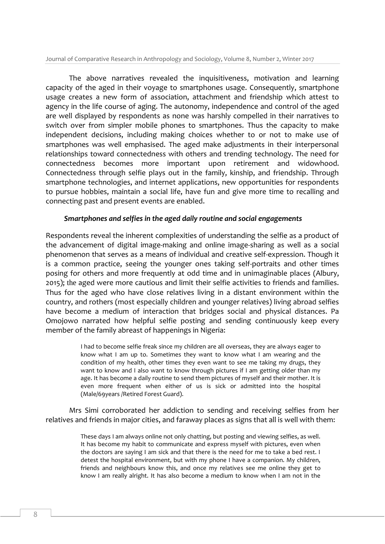The above narratives revealed the inquisitiveness, motivation and learning capacity of the aged in their voyage to smartphones usage. Consequently, smartphone usage creates a new form of association, attachment and friendship which attest to agency in the life course of aging. The autonomy, independence and control of the aged are well displayed by respondents as none was harshly compelled in their narratives to switch over from simpler mobile phones to smartphones. Thus the capacity to make independent decisions, including making choices whether to or not to make use of smartphones was well emphasised. The aged make adjustments in their interpersonal relationships toward connectedness with others and trending technology. The need for connectedness becomes more important upon retirement and widowhood. Connectedness through selfie plays out in the family, kinship, and friendship. Through smartphone technologies, and internet applications, new opportunities for respondents to pursue hobbies, maintain a social life, have fun and give more time to recalling and connecting past and present events are enabled.

#### *Smartphones and selfies in the aged daily routine and social engagements*

Respondents reveal the inherent complexities of understanding the selfie as a product of the advancement of digital image-making and online image-sharing as well as a social phenomenon that serves as a means of individual and creative self-expression. Though it is a common practice, seeing the younger ones taking self-portraits and other times posing for others and more frequently at odd time and in unimaginable places (Albury, 2015); the aged were more cautious and limit their selfie activities to friends and families. Thus for the aged who have close relatives living in a distant environment within the country, and rothers (most especially children and younger relatives) living abroad selfies have become a medium of interaction that bridges social and physical distances. Pa Omojowo narrated how helpful selfie posting and sending continuously keep every member of the family abreast of happenings in Nigeria:

> I had to become selfie freak since my children are all overseas, they are always eager to know what I am up to. Sometimes they want to know what I am wearing and the condition of my health, other times they even want to see me taking my drugs, they want to know and I also want to know through pictures if I am getting older than my age. It has become a daily routine to send them pictures of myself and their mother. It is even more frequent when either of us is sick or admitted into the hospital (Male/69years /Retired Forest Guard).

Mrs Simi corroborated her addiction to sending and receiving selfies from her relatives and friends in major cities, and faraway places as signs that all is well with them:

> These days I am always online not only chatting, but posting and viewing selfies, as well. It has become my habit to communicate and express myself with pictures, even when the doctors are saying I am sick and that there is the need for me to take a bed rest. I detest the hospital environment, but with my phone I have a companion. My children, friends and neighbours know this, and once my relatives see me online they get to know I am really alright. It has also become a medium to know when I am not in the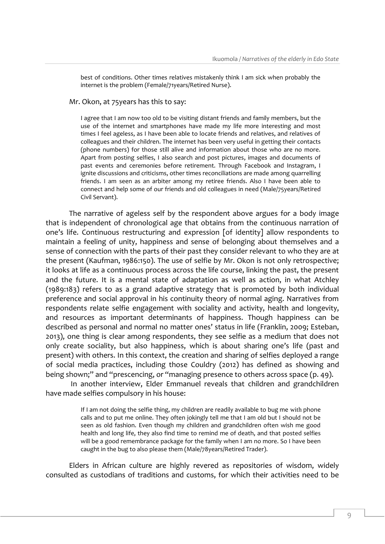best of conditions. Other times relatives mistakenly think I am sick when probably the internet is the problem (Female/71years/Retired Nurse).

Mr. Okon, at 75years has this to say:

I agree that I am now too old to be visiting distant friends and family members, but the use of the internet and smartphones have made my life more interesting and most times I feel ageless, as I have been able to locate friends and relatives, and relatives of colleagues and their children. The internet has been very useful in getting their contacts (phone numbers) for those still alive and information about those who are no more. Apart from posting selfies, I also search and post pictures, images and documents of past events and ceremonies before retirement. Through Facebook and Instagram, I ignite discussions and criticisms, other times reconciliations are made among quarrelling friends. I am seen as an arbiter among my retiree friends. Also I have been able to connect and help some of our friends and old colleagues in need (Male/75years/Retired Civil Servant).

The narrative of ageless self by the respondent above argues for a body image that is independent of chronological age that obtains from the continuous narration of one's life. Continuous restructuring and expression [of identity] allow respondents to maintain a feeling of unity, happiness and sense of belonging about themselves and a sense of connection with the parts of their past they consider relevant to who they are at the present (Kaufman, 1986:150). The use of selfie by Mr. Okon is not only retrospective; it looks at life as a continuous process across the life course, linking the past, the present and the future. It is a mental state of adaptation as well as action, in what Atchley (1989:183) refers to as a grand adaptive strategy that is promoted by both individual preference and social approval in his continuity theory of normal aging. Narratives from respondents relate selfie engagement with sociality and activity, health and longevity, and resources as important determinants of happiness. Though happiness can be described as personal and normal no matter ones' status in life (Franklin, 2009; Esteban, 2013), one thing is clear among respondents, they see selfie as a medium that does not only create sociality, but also happiness, which is about sharing one's life (past and present) with others. In this context, the creation and sharing of selfies deployed a range of social media practices, including those Couldry (2012) has defined as showing and being shown;" and "prescencing, or "managing presence to others across space (p. 49).

In another interview, Elder Emmanuel reveals that children and grandchildren have made selfies compulsory in his house:

> If I am not doing the selfie thing, my children are readily available to bug me with phone calls and to put me online. They often jokingly tell me that I am old but I should not be seen as old fashion. Even though my children and grandchildren often wish me good health and long life, they also find time to remind me of death, and that posted selfies will be a good remembrance package for the family when I am no more. So I have been caught in the bug to also please them (Male/78years/Retired Trader).

Elders in African culture are highly revered as repositories of wisdom, widely consulted as custodians of traditions and customs, for which their activities need to be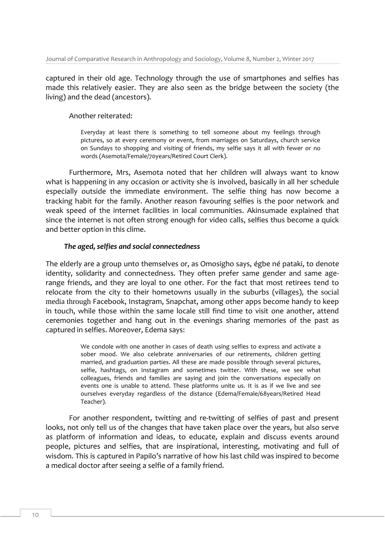captured in their old age. Technology through the use of smartphones and selfies has made this relatively easier. They are also seen as the bridge between the society (the living) and the dead (ancestors).

## Another reiterated:

Everyday at least there is something to tell someone about my feelings through pictures, so at every ceremony or event, from marriages on Saturdays, church service on Sundays to shopping and visiting of friends, my selfie says it all with fewer or no words (Asemota/Female/70years/Retired Court Clerk).

Furthermore, Mrs, Asemota noted that her children will always want to know what is happening in any occasion or activity she is involved, basically in all her schedule especially outside the immediate environment. The selfie thing has now become a tracking habit for the family. Another reason favouring selfies is the poor network and weak speed of the internet facilities in local communities. Akinsumade explained that since the internet is not often strong enough for video calls, selfies thus become a quick and better option in this clime.

## *The aged, selfies and social connectedness*

The elderly are a group unto themselves or, as Omosigho says, égbe né pataki, to denote identity, solidarity and connectedness. They often prefer same gender and same agerange friends, and they are loyal to one other. For the fact that most retirees tend to relocate from the city to their hometowns usually in the suburbs (villages), the social media through Facebook, Instagram, Snapchat, among other apps become handy to keep in touch, while those within the same locale still find time to visit one another, attend ceremonies together and hang out in the evenings sharing memories of the past as captured in selfies. Moreover, Edema says:

> We condole with one another in cases of death using selfies to express and activate a sober mood. We also celebrate anniversaries of our retirements, children getting married, and graduation parties. All these are made possible through several pictures, selfie, hashtags, on Instagram and sometimes twitter. With these, we see what colleagues, friends and families are saying and join the conversations especially on events one is unable to attend. These platforms unite us. It is as if we live and see ourselves everyday regardless of the distance (Edema/Female/68years/Retired Head Teacher).

For another respondent, twitting and re-twitting of selfies of past and present looks, not only tell us of the changes that have taken place over the years, but also serve as platform of information and ideas, to educate, explain and discuss events around people, pictures and selfies, that are inspirational, interesting, motivating and full of wisdom. This is captured in Papilo's narrative of how his last child was inspired to become a medical doctor after seeing a selfie of a family friend.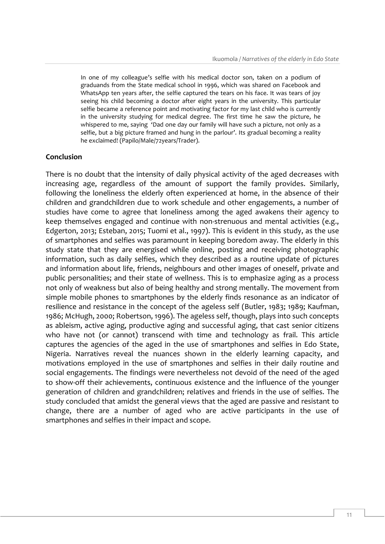In one of my colleague's selfie with his medical doctor son, taken on a podium of graduands from the State medical school in 1996, which was shared on Facebook and WhatsApp ten years after, the selfie captured the tears on his face. It was tears of joy seeing his child becoming a doctor after eight years in the university. This particular selfie became a reference point and motivating factor for my last child who is currently in the university studying for medical degree. The first time he saw the picture, he whispered to me, saying 'Dad one day our family will have such a picture, not only as a selfie, but a big picture framed and hung in the parlour'. Its gradual becoming a reality he exclaimed! (Papilo/Male/72years/Trader).

#### **Conclusion**

There is no doubt that the intensity of daily physical activity of the aged decreases with increasing age, regardless of the amount of support the family provides. Similarly, following the loneliness the elderly often experienced at home, in the absence of their children and grandchildren due to work schedule and other engagements, a number of studies have come to agree that loneliness among the aged awakens their agency to keep themselves engaged and continue with non-strenuous and mental activities (e.g., Edgerton, 2013; Esteban, 2015; Tuomi et al., 1997). This is evident in this study, as the use of smartphones and selfies was paramount in keeping boredom away. The elderly in this study state that they are energised while online, posting and receiving photographic information, such as daily selfies, which they described as a routine update of pictures and information about life, friends, neighbours and other images of oneself, private and public personalities; and their state of wellness. This is to emphasize aging as a process not only of weakness but also of being healthy and strong mentally. The movement from simple mobile phones to smartphones by the elderly finds resonance as an indicator of resilience and resistance in the concept of the ageless self (Butler, 1983; 1989; Kaufman, 1986; McHugh, 2000; Robertson, 1996). The ageless self, though, plays into such concepts as ableism, active aging, productive aging and successful aging, that cast senior citizens who have not (or cannot) transcend with time and technology as frail. This article captures the agencies of the aged in the use of smartphones and selfies in Edo State, Nigeria. Narratives reveal the nuances shown in the elderly learning capacity, and motivations employed in the use of smartphones and selfies in their daily routine and social engagements. The findings were nevertheless not devoid of the need of the aged to show-off their achievements, continuous existence and the influence of the younger generation of children and grandchildren; relatives and friends in the use of selfies. The study concluded that amidst the general views that the aged are passive and resistant to change, there are a number of aged who are active participants in the use of smartphones and selfies in their impact and scope.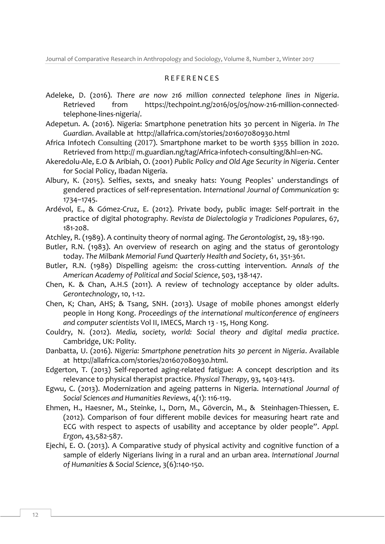## R E F E R E N C E S

- Adeleke, D. (2016). *There are now 216 million connected telephone lines in Nigeria*. Retrieved from [https://techpoint.ng/2016/05/05/now-216-million-connected](https://techpoint.ng/2016/05/05/now-216-million-connected-telephone-lines-nigeria/)[telephone-lines-nigeria/.](https://techpoint.ng/2016/05/05/now-216-million-connected-telephone-lines-nigeria/)
- Adepetun. A. (2016). Nigeria: Smartphone penetration hits 30 percent in Nigeria. *In The Guardian*. Available at<http://allafrica.com/stories/201607080930.html>
- Africa Infotech Consulting (2017). Smartphone market to be worth \$355 billion in 2020. Retrieved from http:// m.guardian.ng/tag/Africa-infotech-consulting/&hl=en-NG.
- Akeredolu-Ale, E.O & Aribiah, O. (2001) *Public Policy and Old Age Security in Nigeria*. Center for Social Policy, Ibadan Nigeria.
- Albury, K. (2015). Selfies, sexts, and sneaky hats: Young Peoples' understandings of gendered practices of self-representation. *International Journal of Communication* 9: 1734–1745.
- Ardévol, E., & Gómez-Cruz, E. (2012). Private body, public image: Self-portrait in the practice of digital photography*. Revista de Dialectologia y Tradiciones Populares*, 67, 181-208.
- Atchley, R. (1989). A continuity theory of normal aging. *The Gerontologist*, 29, 183-190.
- Butler, R.N. (1983). An overview of research on aging and the status of gerontology today. *The Milbank Memorial Fund Quarterly Health and Society*, 61, 351-361.
- Butler, R.N. (1989) Dispelling ageism: the cross-cutting intervention. *Annals of the American Academy of Political and Social Science*, 503, 138-147.
- Chen, K. & Chan, A.H.S (2011). A review of technology acceptance by older adults. *Gerontechnology*, 10, 1-12.
- Chen, K; Chan, AHS; & Tsang, SNH. (2013). Usage of mobile phones amongst elderly people in Hong Kong. *Proceedings of the international multiconference of engineers and computer scientists* Vol II, IMECS, March 13 - 15, Hong Kong.
- Couldry, N. (2012). *Media, society, world: Social theory and digital media practice*. Cambridge, UK: Polity.
- Danbatta, U. (2016). *Nigeria: Smartphone penetration hits 30 percent in Nigeria*. Available at [http://allafrica.com/stories/201607080930.html.](http://allafrica.com/stories/201607080930.html)
- Edgerton, T. (2013) Self-reported aging-related fatigue: A concept description and its relevance to physical therapist practice. *Physical Therapy*, 93, 1403-1413.
- Egwu, C. (2013). Modernization and ageing patterns in Nigeria. *International Journal of Social Sciences and Humanities Reviews*, 4(1): 116-119.
- Ehmen, H., Haesner, M., Steinke, I., Dorn, M., Gövercin, M., & Steinhagen-Thiessen, E. (2012). Comparison of four different mobile devices for measuring heart rate and ECG with respect to aspects of usability and acceptance by older people". *Appl. Ergon*, 43,582-587.
- Ejechi, E. O. (2013). A Comparative study of physical activity and cognitive function of a sample of elderly Nigerians living in a rural and an urban area. *International Journal of Humanities & Social Science*, 3(6):140-150.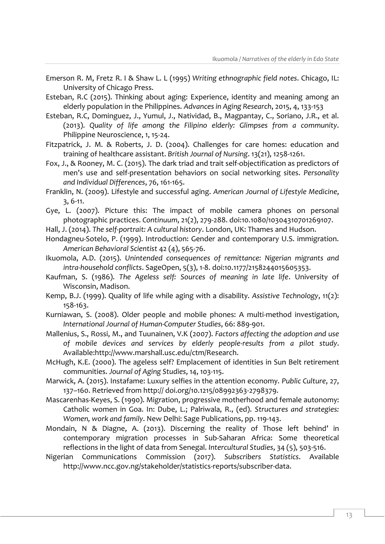- Emerson R. M, Fretz R. I & Shaw L. L (1995) *Writing ethnographic field notes*. Chicago, IL: University of Chicago Press.
- Esteban, R.C (2015). Thinking about aging: Experience, identity and meaning among an elderly population in the Philippines. *Advances in Aging Research*, 2015, 4, 133-153
- Esteban, R.C, Dominguez, J., Yumul, J., Natividad, B., Magpantay, C., Soriano, J.R., et al. (2013). *Quality of life among the Filipino elderly: Glimpses from a community*. Philippine Neuroscience, 1, 15-24.
- Fitzpatrick, J. M. & Roberts, J. D. (2004). Challenges for care homes: education and training of healthcare assistant. *British Journal of Nursing*. 13(21), 1258-1261.
- Fox, J., & Rooney, M. C. (2015). The dark triad and trait self-objectification as predictors of men's use and self-presentation behaviors on social networking sites. *Personality and Individual Differences*, 76, 161-165.

Franklin, N. (2009). Lifestyle and successful aging. *American Journal of Lifestyle Medicine*, 3, 6-11.

- Gye, L. (2007). Picture this: The impact of mobile camera phones on personal photographic practices. *Continuum*, 21(2), 279-288. doi:10.1080/10304310701269107.
- Hall, J. (2014). *The self-portrait: A cultural history*. London, UK: Thames and Hudson.
- Hondagneu-Sotelo, P. (1999). Introduction: Gender and contemporary U.S. immigration. *American Behavioral Scientist* 42 (4), 565-76.
- Ikuomola, A.D. (2015). *Unintended consequences of remittance: Nigerian migrants and intra-household conflicts*. SageOpen, 5(3), 1-8. doi:10.1177/2158244015605353.
- Kaufman, S. (1986). *The Ageless self: Sources of meaning in late life*. University of Wisconsin, Madison.
- Kemp, B.J. (1999). Quality of life while aging with a disability. *Assistive Technology*, 11(2): 158-163.
- Kurniawan, S. (2008). Older people and mobile phones: A multi-method investigation, *International Journal of Human-Computer Studies*, 66: 889-901.
- Mallenius, S., Rossi, M., and Tuunainen, V.K (2007). *Factors affecting the adoption and use of mobile devices and services by elderly people-results from a pilot study*. Available[:http://www.marshall.usc.edu/ctm/Research.](http://www.marshall.usc.edu/ctm/Research)
- McHugh, K.E. (2000). The ageless self? Emplacement of identities in Sun Belt retirement communities. *Journal of Aging Studies*, 14, 103-115.
- Marwick, A. (2015). Instafame: Luxury selfies in the attention economy. *Public Culture*, 27, 137–160. Retrieved from http:// doi.org/10.1215/08992363-2798379.
- Mascarenhas-Keyes, S. (1990). Migration, progressive motherhood and female autonomy: Catholic women in Goa. In: Dube, L.; Palriwala, R., (ed). *Structures and strategies: Women, work and family*. New Delhi: Sage Publications, pp. 119-143.
- Mondain, N & Diagne, A. (2013). Discerning the reality of Those left behind' in contemporary migration processes in Sub-Saharan Africa: Some theoretical reflections in the light of data from Senegal. *Intercultural Studies*, 34 (5), 503-516.
- Nigerian Communications Commission (2017). *Subscribers Statistics*. Available [http://www.ncc.gov.ng/stakeholder/statistics-reports/subscriber-data.](http://www.ncc.gov.ng/stakeholder/statistics-reports/subscriber-data)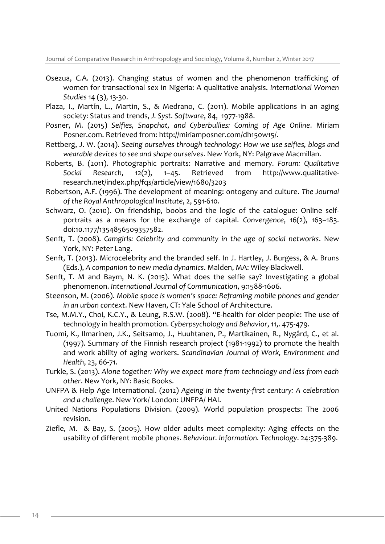Journal of Comparative Research in Anthropology and Sociology, Volume 8, Number 2, Winter 2017

- Osezua, C.A. (2013). Changing status of women and the phenomenon trafficking of women for transactional sex in Nigeria: A qualitative analysis. *International Women Studies* 14 (3), 13-30.
- Plaza, I., Martín, L., Martin, S., & Medrano, C. (2011). Mobile applications in an aging society: Status and trends, *J. Syst. Software*, 84, 1977-1988.
- Posner, M. (2015) *Selfies, Snapchat, and Cyberbullies: Coming of Age Online*. Miriam Posner.com. Retrieved from: [http://miriamposner.com/dh150w15/.](http://miriamposner.com/dh150w15/)
- Rettberg, J. W. (2014). *Seeing ourselves through technology: How we use selfies, blogs and wearable devices to see and shape ourselves*. New York, NY: Palgrave Macmillan.
- Roberts, B. (2011). Photographic portraits: Narrative and memory. *Forum: Qualitative Social Research*, 12(2), 1–45. Retrieved from http://www.qualitativeresearch.net/index.php/fqs/article/view/1680/3203
- Robertson, A.F. (1996). The development of meaning: ontogeny and culture. *The Journal of the Royal Anthropological Institute*, 2, 591-610.
- Schwarz, O. (2010). On friendship, boobs and the logic of the catalogue: Online selfportraits as a means for the exchange of capital. *Convergence*, 16(2), 163–183. doi:10.1177/1354856509357582.
- Senft, T. (2008). *Camgirls: Celebrity and community in the age of social networks*. New York, NY: Peter Lang.
- Senft, T. (2013). Microcelebrity and the branded self. In J. Hartley, J. Burgess, & A. Bruns (Eds.), *A companion to new media dynamics*. Malden, MA: Wiley-Blackwell.
- Senft, T. M and Baym, N. K. (2015). What does the selfie say? Investigating a global phenomenon. *International Journal of Communication*, 9:1588-1606.
- Steenson, M. (2006). *Mobile space is women's space: Reframing mobile phones and gender in an urban context*. New Haven, CT: Yale School of Architecture.
- Tse, M.M.Y., Choi, K.C.Y., & Leung, R.S.W. (2008). "E-health for older people: The use of technology in health promotion. *Cyberpsychology and Behavior*, 11,. 475-479.
- Tuomi, K., Ilmarinen, J.K., Seitsamo, J., Huuhtanen, P., Martikainen, R., Nygård, C., et al. (1997). Summary of the Finnish research project (1981-1992) to promote the health and work ability of aging workers. *Scandinavian Journal of Work, Environment and Health*, 23, 66-71.
- Turkle, S. (2013). *Alone together: Why we expect more from technology and less from each other*. New York, NY: Basic Books.
- UNFPA & Help Age International. (2012) *Ageing in the twenty-first century: A celebration and a challenge*. New York/ London: UNFPA/ HAI.
- United Nations Populations Division. (2009). World population prospects: The 2006 revision.
- Ziefle, M. & Bay, S. (2005). How older adults meet complexity: Aging effects on the usability of different mobile phones. *Behaviour. Information. Technology*. 24:375-389.